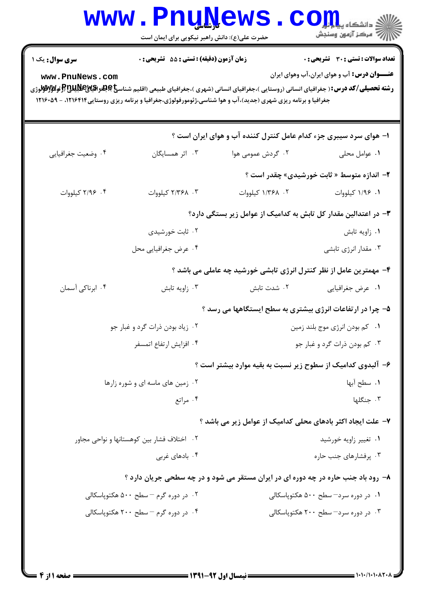|                                                                                                                                                                                                                        | <b>www.PnuNews</b><br>حضرت علی(ع): دانش راهبر نیکویی برای ایمان است                                                                                         |                                                                    | الاد دانشگاه پیار<br>اگر دانشگاه پیارآران<br>اگر مرکز آزمون وسنجش                                   |  |  |
|------------------------------------------------------------------------------------------------------------------------------------------------------------------------------------------------------------------------|-------------------------------------------------------------------------------------------------------------------------------------------------------------|--------------------------------------------------------------------|-----------------------------------------------------------------------------------------------------|--|--|
| <b>سری سوال :</b> یک ۱<br>www.PnuNews.com<br><b>رشته تحصیلی/کد درس:</b> ( جغرافیای انسانی (روستایی )،جغرافیای انسانی (شهری )،جغرافیای طبیعی (اقلیم شناس <b>خ)چینرایپوپوپیپاچلایلیا توگیلایی او</b> گو <b>لاوا</b> لوژی | زمان آزمون (دقیقه) : تستی : 55 آتشریحی : 0<br>جغرافیا و برنامه ریزی شهری (جدید)،آب و هوا شناسی،ژئومورفولوژی،جغرافیا و برنامه ریزی روستایی ۱۲۱۶۴۱۶ - ۱۲۱۶۰۵۹ |                                                                    | <b>تعداد سوالات : تستی : 30 ٪ تشریحی : 0</b><br><b>عنـــوان درس:</b> آب و هوای ایران،آب وهوای ایران |  |  |
|                                                                                                                                                                                                                        |                                                                                                                                                             | ۱– هوای سرد سیبری جزء کدام عامل کنترل کننده آب و هوای ایران است ؟  |                                                                                                     |  |  |
| ۰۴ وضعيت جغرافيايي                                                                                                                                                                                                     | ۰۳ اثر همسایگان                                                                                                                                             | ۰۲ گردش عمومی هوا                                                  | ۰۱ عوامل محلی                                                                                       |  |  |
|                                                                                                                                                                                                                        |                                                                                                                                                             |                                                                    | <b>۲</b> - اندازه متوسط « ثابت خورشیدی» چقدر است ؟                                                  |  |  |
| ۰۴ ۲/۹۶ کیلووات                                                                                                                                                                                                        | ٢. ٢/٣۶٨ كيلووات                                                                                                                                            | ۰۲ ۱/۳۶۸ کیلووات                                                   | ۰۱ ۱/۹۶ کیلووات                                                                                     |  |  |
|                                                                                                                                                                                                                        |                                                                                                                                                             | ۳– در اعتدالین مقدار کل تابش به کدامیک از عوامل زیر بستگی دارد؟    |                                                                                                     |  |  |
|                                                                                                                                                                                                                        | ۰۲ ثابت خورشیدی                                                                                                                                             |                                                                    | ٠١ زاويه تابش                                                                                       |  |  |
|                                                                                                                                                                                                                        | ۰۴ عرض جغرافیایی محل                                                                                                                                        |                                                                    | ۰۳ مقدار انرژی تابشی                                                                                |  |  |
|                                                                                                                                                                                                                        |                                                                                                                                                             | ۴- مهمترین عامل از نظر کنترل انرژی تابشی خورشید چه عاملی می باشد ؟ |                                                                                                     |  |  |
| ۰۴ ابرناکی آسمان                                                                                                                                                                                                       | ۰۳ زاويه تابش                                                                                                                                               | ۰۲ شدت تابش                                                        | ٠١ عرض جغرافيايي                                                                                    |  |  |
|                                                                                                                                                                                                                        |                                                                                                                                                             | ۵- چرا در ارتفاعات انرژی بیشتری به سطح ایستگاهها می رسد ؟          |                                                                                                     |  |  |
|                                                                                                                                                                                                                        | ۰۲ زیاد بودن ذرات گرد و غبار جو                                                                                                                             | ۰۱ کم بودن انرژی موج بلند زمین                                     |                                                                                                     |  |  |
|                                                                                                                                                                                                                        | ۰۴ افزايش ارتفاع اتمسفر                                                                                                                                     | ۰۳ کم بودن ذرات گرد و غبار جو                                      |                                                                                                     |  |  |
|                                                                                                                                                                                                                        |                                                                                                                                                             | ۶- آلبدوی کدامیک از سطوح زیر نسبت به بقیه موارد بیشتر است ؟        |                                                                                                     |  |  |
|                                                                                                                                                                                                                        | ۰۲ زمین های ماسه ای و شوره زارها                                                                                                                            |                                                                    | ٠١. سطح آبها                                                                                        |  |  |
|                                                                                                                                                                                                                        | ۰۴ مراتع                                                                                                                                                    |                                                                    | ٠٣ جنگلها                                                                                           |  |  |
|                                                                                                                                                                                                                        |                                                                                                                                                             | ۷- علت ایجاد اکثر بادهای محلی کدامیک از عوامل زیر می باشد ؟        |                                                                                                     |  |  |
|                                                                                                                                                                                                                        | ۰۲ اختلاف فشار بین کوهستانها و نواحی مجاور                                                                                                                  | ۰۱ تغییر زاویه خورشید                                              |                                                                                                     |  |  |
| ۰۴ بادهای غربی                                                                                                                                                                                                         |                                                                                                                                                             | ۰۳ پرفشارهای جنب حاره                                              |                                                                                                     |  |  |
|                                                                                                                                                                                                                        | ۸- رود باد جنب حاره در چه دوره ای در ایران مستقر می شود و در چه سطحی جریان دارد ؟                                                                           |                                                                    |                                                                                                     |  |  |
|                                                                                                                                                                                                                        | ۰۲ در دوره گرم – سطح ۵۰۰ هکتوپاسکالی                                                                                                                        |                                                                    | ۰۱ در دوره سرد– سطح ۵۰۰ هکتوپاسکالی                                                                 |  |  |
|                                                                                                                                                                                                                        | ۰۴ در دوره گرم – سطح ۲۰۰ هکتوپاسکالی                                                                                                                        |                                                                    | ۰۳ در دوره سرد- سطح ۲۰۰ هکتوپاسکالی                                                                 |  |  |
|                                                                                                                                                                                                                        |                                                                                                                                                             |                                                                    |                                                                                                     |  |  |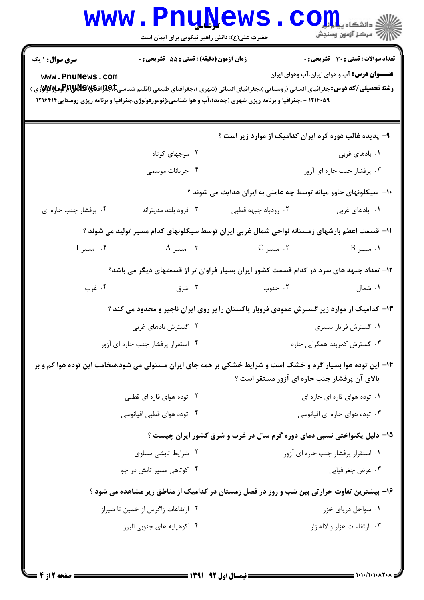|                                                                                            | <b>www.PnuNews</b><br>حضرت علی(ع): دانش راهبر نیکویی برای ایمان است |                                                                                                                                                                                                                                                                                                         | $\mathbf{C}\mathbf{O}$ $\mathbf{H}_{\mathrm{a}}$ and $\mathbf{H}_{\mathrm{b}}$<br>أأأأ " مرکز آزمون وسنجش |  |
|--------------------------------------------------------------------------------------------|---------------------------------------------------------------------|---------------------------------------------------------------------------------------------------------------------------------------------------------------------------------------------------------------------------------------------------------------------------------------------------------|-----------------------------------------------------------------------------------------------------------|--|
| <b>سری سوال : ۱ یک</b><br>www.PnuNews.com                                                  | زمان آزمون (دقیقه) : تستی : 55 آتشریحی : 0                          | <b>رشته تحصیلی/کد درس:</b> جغرافیای انسانی (روستایی )،جغرافیای انسانی (شهری )،جغرافیای طبیعی (اقلیم شناسی <b>E،B،E افیایاتیاتیاتیاتیاتی</b> اوراکوم <b>یالیاتی</b> اوراکوم <b>یانی</b><br>۱۲۱۶۰۵۹ - ،جغرافیا و برنامه ریزی شهری (جدید)،آب و هوا شناسی،ژئومورفولوژی،جغرافیا و برنامه ریزی روستایی۱۲۱۶۴۱۴ | <b>تعداد سوالات : تستی : 30 ٪ تشریحی : 0</b><br><b>عنـــوان درس:</b> آب و هوای ایران،آب وهوای ایران       |  |
|                                                                                            |                                                                     | ۹- پدیده غالب دوره گرم ایران کدامیک از موارد زیر است ؟                                                                                                                                                                                                                                                  |                                                                                                           |  |
|                                                                                            | ۰۲ موجهای کوتاه                                                     |                                                                                                                                                                                                                                                                                                         | ۰۱ بادهای غربی                                                                                            |  |
|                                                                                            | ۰۴ جریانات موسمی                                                    |                                                                                                                                                                                                                                                                                                         | ۰۳ پرفشار جنب حاره ای آزور                                                                                |  |
|                                                                                            |                                                                     | ∙۱- سیکلونهای خاور میانه توسط چه عاملی به ایران هدایت می شوند ؟                                                                                                                                                                                                                                         |                                                                                                           |  |
| ۰۴ پرفشار جنب حاره ای                                                                      | ۰۳ فرود بلند مديترانه                                               | ۰۲ رودباد جبهه قطبي                                                                                                                                                                                                                                                                                     | ٠١. بادهاى غربى                                                                                           |  |
|                                                                                            |                                                                     | 1۱– قسمت اعظم بارشهای زمستانه نواحی شمال غربی ایران توسط سیکلونهای کدام مسیر تولید می شوند ؟                                                                                                                                                                                                            |                                                                                                           |  |
| $I$ مسير $\mathsf F$                                                                       | . مسیر $C$ ، مسیر $C$ ، مسیر $C$                                    |                                                                                                                                                                                                                                                                                                         | ۰۱ مسیر B                                                                                                 |  |
|                                                                                            |                                                                     | ۱۲– تعداد جبهه های سرد در کدام قسمت کشور ایران بسیار فراوان تر از قسمتهای دیگر می باشد؟                                                                                                                                                                                                                 |                                                                                                           |  |
| ۰۴ غرب                                                                                     | ۰۳ شرق                                                              | ۰۲ جنوب                                                                                                                                                                                                                                                                                                 | ۰۱ شمال                                                                                                   |  |
|                                                                                            |                                                                     | ۱۳- کدامیک از موارد زیر گسترش عمودی فروبار پاکستان را بر روی ایران ناچیز و محدود می کند ؟                                                                                                                                                                                                               |                                                                                                           |  |
|                                                                                            | ۰۲ گسترش بادهای غربی<br>۰۱ گسترش فرابار سیبری                       |                                                                                                                                                                                                                                                                                                         |                                                                                                           |  |
|                                                                                            | ۰۴ استقرار پرفشار جنب حاره ای آزور                                  | ۰۳ گسترش کمربند همگرایی حاره                                                                                                                                                                                                                                                                            |                                                                                                           |  |
|                                                                                            |                                                                     | ۱۴- این توده هوا بسیار گرم و خشک است و شرایط خشکی بر همه جای ایران مستولی می شود.ضخامت این توده هوا کم و بر<br>بالای آن پرفشار جنب حاره ای آزور مستقر است ؟                                                                                                                                             |                                                                                                           |  |
|                                                                                            | ۰۲ توده هوای قاره ای قطبی                                           | ۰۱ توده هوای قاره ای حاره ای                                                                                                                                                                                                                                                                            |                                                                                                           |  |
|                                                                                            | ۰۴ توده هوای قطبی اقیانوسی                                          |                                                                                                                                                                                                                                                                                                         | ۰۳ توده هوای حاره ای اقیانوسی                                                                             |  |
|                                                                                            |                                                                     | ۱۵– دلیل یکنواختی نسبی دمای دوره گرم سال در غرب و شرق کشور ایران چیست ؟                                                                                                                                                                                                                                 |                                                                                                           |  |
|                                                                                            | ۰۲ شرایط تابشی مساوی                                                | ۰۱ استقرار پرفشار جنب حاره ای آزور                                                                                                                                                                                                                                                                      |                                                                                                           |  |
|                                                                                            | ۰۴ کوتاهی مسیر تابش در جو                                           |                                                                                                                                                                                                                                                                                                         | ۰۳ عرض جغرافيايي                                                                                          |  |
| ۱۶- بیشترین تفاوت حرارتی بین شب و روز در فصل زمستان در کدامیک از مناطق زیر مشاهده می شود ؟ |                                                                     |                                                                                                                                                                                                                                                                                                         |                                                                                                           |  |
|                                                                                            | ۰۲ ارتفاعات زاگرس از خمین تا شیراز                                  |                                                                                                                                                                                                                                                                                                         | ۰۱ سواحل دریای خزر                                                                                        |  |
|                                                                                            |                                                                     |                                                                                                                                                                                                                                                                                                         |                                                                                                           |  |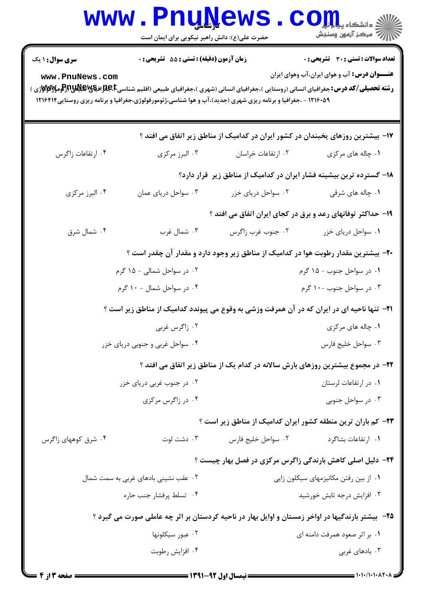|                                                                                                                                                                                                                                                                                                                                                                | www.PnuNews.                                                                    |                                       | الله دانشگاه پیابانی<br>الله مرکز آزمون وسنجش                                                      |  |  |  |
|----------------------------------------------------------------------------------------------------------------------------------------------------------------------------------------------------------------------------------------------------------------------------------------------------------------------------------------------------------------|---------------------------------------------------------------------------------|---------------------------------------|----------------------------------------------------------------------------------------------------|--|--|--|
|                                                                                                                                                                                                                                                                                                                                                                | حضرت علی(ع): دانش راهبر نیکویی برای ایمان است                                   |                                       |                                                                                                    |  |  |  |
| <b>سری سوال : ۱ یک</b>                                                                                                                                                                                                                                                                                                                                         | زمان آزمون (دقیقه) : تستی : 55 آتشریحی : 0                                      |                                       | <b>تعداد سوالات : تستی : 30 ٪ تشریحی : 0</b>                                                       |  |  |  |
| <b>عنـــوان درس:</b> آب و هوای ایران،آب وهوای ایران<br>www.PnuNews.com<br><b>رشته تحصیلی/کد درس:</b> جغرافیای انسانی (روستایی )،جغرافیای انسانی (شهری )،جغرافیای طبیعی (اقلیم شناسیEباطولاییالایالایالایالایالایالایالایی از استانی تران<br>.<br>۱۲۱۶۰۵۹ - ،جغرافیا و برنامه ریزی شهری (جدید)،آب و هوا شناسی،ژئومورفولوژی،جغرافیا و برنامه ریزی روستایی۱۲۱۶۴۱۴ |                                                                                 |                                       |                                                                                                    |  |  |  |
| ۱۷- بیشترین روزهای یخبندان در کشور ایران در کدامیک از مناطق زیر اتفاق می افتد ؟                                                                                                                                                                                                                                                                                |                                                                                 |                                       |                                                                                                    |  |  |  |
| ۰۴ ارتفاعات زاگرس                                                                                                                                                                                                                                                                                                                                              | ۰۳ البرز مرکزی                                                                  | ٠٢ ارتفاعات خراسان                    | ۰۱ چاله های مرکزی                                                                                  |  |  |  |
|                                                                                                                                                                                                                                                                                                                                                                | ۱۸– گسترده ترین بیشینه فشار ایران در کدامیک از مناطق زیر قرار دارد؟             |                                       |                                                                                                    |  |  |  |
| ۰۴ البرز مرکزی                                                                                                                                                                                                                                                                                                                                                 | ۰۳ سواحل دریای عمان                                                             | ۰۲ سواحل دریای خزر                    | ۰۱ چاله های شرقی                                                                                   |  |  |  |
|                                                                                                                                                                                                                                                                                                                                                                | ۱۹- حداکثر توفانهای رعد و برق در کجای ایران اتفاق می افتد ؟                     |                                       |                                                                                                    |  |  |  |
| ۰۴ شمال شرق                                                                                                                                                                                                                                                                                                                                                    | ۰۳ شمال غرب                                                                     | ۰۲ جنوب غرب زاگرس                     | ۰۱ سواحل دریای خزر                                                                                 |  |  |  |
|                                                                                                                                                                                                                                                                                                                                                                |                                                                                 |                                       | +۲- بیشترین مقدار رطوبت هوا در کدامیک از مناطق زیر وجود دارد و مقدار آن چقدر است ؟                 |  |  |  |
|                                                                                                                                                                                                                                                                                                                                                                | ۰۲ در سواحل شمالی - ۱۵ گرم                                                      | ۰۱ در سواحل جنوب - ۱۵ گرم             |                                                                                                    |  |  |  |
|                                                                                                                                                                                                                                                                                                                                                                | ۰۴ در سواحل شمال - ۱۰ گرم                                                       | ۰۳ در سواحل جنوب -۱۰ گرم              |                                                                                                    |  |  |  |
|                                                                                                                                                                                                                                                                                                                                                                |                                                                                 |                                       | <b>۲۱</b> - تنها ناحیه ای در ایران که در آن همرفت وزشی به وقوع می پیوندد کدامیک از مناطق زیر است ؟ |  |  |  |
| ۰۲ زاگرس غربی                                                                                                                                                                                                                                                                                                                                                  |                                                                                 | ۰۱ چاله های مرکزی                     |                                                                                                    |  |  |  |
| ۰۴ سواحل غربی و جنوبی دریای خزر                                                                                                                                                                                                                                                                                                                                |                                                                                 | ۰۳ سواحل خليج فارس                    |                                                                                                    |  |  |  |
|                                                                                                                                                                                                                                                                                                                                                                | ۲۲- در مجموع بیشترین روزهای بارش سالانه در کدام یک از مناطق زیر اتفاق می افتد ؟ |                                       |                                                                                                    |  |  |  |
|                                                                                                                                                                                                                                                                                                                                                                | ۰۲ در جنوب غربی دریای خزر                                                       |                                       | ۰۱ در ارتفاعات لرستان                                                                              |  |  |  |
| ۰۴ در زاگرس مرکزی                                                                                                                                                                                                                                                                                                                                              |                                                                                 |                                       | ۰۳ در سواحل جنوبی                                                                                  |  |  |  |
|                                                                                                                                                                                                                                                                                                                                                                |                                                                                 |                                       | <b>۲۳</b> - کم باران ترین منطقه کشور ایران کدامیک از مناطق زیر است ؟                               |  |  |  |
| ۰۴ شرق کوههای زاگرس                                                                                                                                                                                                                                                                                                                                            | ۰۳ دشت لوت                                                                      | ٠٢ سواحل خليج فارس                    | ۰۱ ارتفاعات بشاگرد                                                                                 |  |  |  |
|                                                                                                                                                                                                                                                                                                                                                                |                                                                                 |                                       | ۲۴− دلیل اصلی کاهش بارندگی زاگرس مرکزی در فصل بهار چیست ؟                                          |  |  |  |
| ۰۲ عقب نشینی بادهای غربی به سمت شمال                                                                                                                                                                                                                                                                                                                           |                                                                                 | ۰۱ از بین رفتن مکانیزمهای سیکلون زایی |                                                                                                    |  |  |  |
| ۰۴ تسلط پرفشار جنب حاره                                                                                                                                                                                                                                                                                                                                        |                                                                                 |                                       | ۰۳ افزایش درجه تابش خورشید                                                                         |  |  |  |
| ۲۵-۔بیشتر بارندگیها در اواخر زمستان و اوایل بهار در ناحیه کردستان بر اثر چه عاملی صورت می گیرد ؟                                                                                                                                                                                                                                                               |                                                                                 |                                       |                                                                                                    |  |  |  |
| ۰۲ عبور سيكلونها                                                                                                                                                                                                                                                                                                                                               |                                                                                 |                                       | ۰۱ بر اثر صعود همرفت دامنه ای                                                                      |  |  |  |
| ۰۴ افزايش رطوبت                                                                                                                                                                                                                                                                                                                                                |                                                                                 |                                       | ۰۳ بادهای غربی                                                                                     |  |  |  |